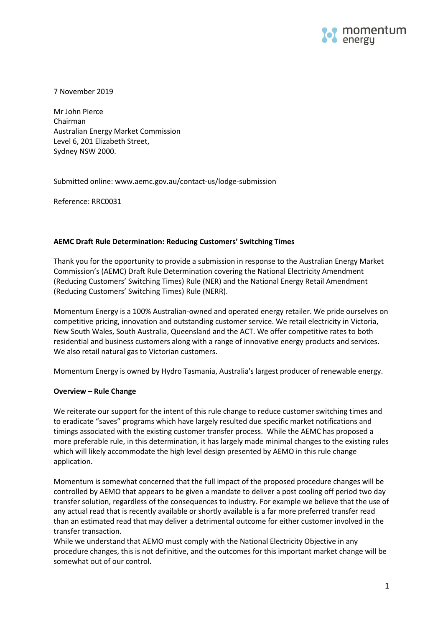

7 November 2019

Mr John Pierce Chairman Australian Energy Market Commission Level 6, 201 Elizabeth Street, Sydney NSW 2000.

Submitted online: www.aemc.gov.au/contact-us/lodge-submission

Reference: RRC0031

# **AEMC Draft Rule Determination: Reducing Customers' Switching Times**

Thank you for the opportunity to provide a submission in response to the Australian Energy Market Commission's (AEMC) Draft Rule Determination covering the National Electricity Amendment (Reducing Customers' Switching Times) Rule (NER) and the National Energy Retail Amendment (Reducing Customers' Switching Times) Rule (NERR).

Momentum Energy is a 100% Australian-owned and operated energy retailer. We pride ourselves on competitive pricing, innovation and outstanding customer service. We retail electricity in Victoria, New South Wales, South Australia, Queensland and the ACT. We offer competitive rates to both residential and business customers along with a range of innovative energy products and services. We also retail natural gas to Victorian customers.

Momentum Energy is owned by [Hydro Tasmania,](http://www.momentumenergy.com.au/about-us/hydro-tasmania-group) Australia's largest producer of renewable energy.

### **Overview – Rule Change**

We reiterate our support for the intent of this rule change to reduce customer switching times and to eradicate "saves" programs which have largely resulted due specific market notifications and timings associated with the existing customer transfer process. While the AEMC has proposed a more preferable rule, in this determination, it has largely made minimal changes to the existing rules which will likely accommodate the high level design presented by AEMO in this rule change application.

Momentum is somewhat concerned that the full impact of the proposed procedure changes will be controlled by AEMO that appears to be given a mandate to deliver a post cooling off period two day transfer solution, regardless of the consequences to industry. For example we believe that the use of any actual read that is recently available or shortly available is a far more preferred transfer read than an estimated read that may deliver a detrimental outcome for either customer involved in the transfer transaction.

While we understand that AEMO must comply with the National Electricity Objective in any procedure changes, this is not definitive, and the outcomes for this important market change will be somewhat out of our control.